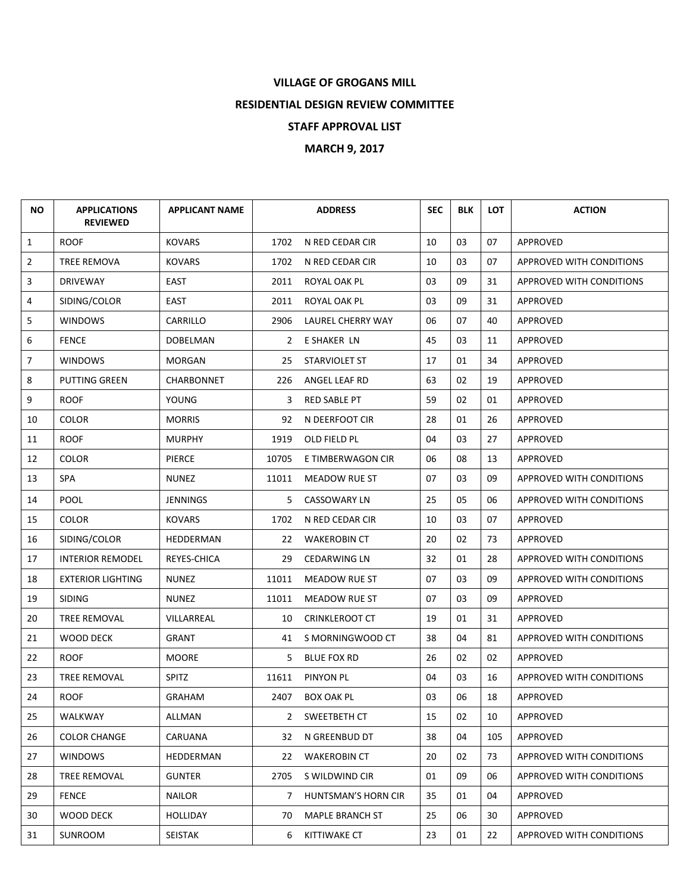## **VILLAGE OF GROGANS MILL**

**RESIDENTIAL DESIGN REVIEW COMMITTEE**

**STAFF APPROVAL LIST**

**MARCH 9, 2017** 

| <b>NO</b>      | <b>APPLICATIONS</b><br><b>REVIEWED</b> | <b>APPLICANT NAME</b> |              | <b>ADDRESS</b>         | <b>SEC</b> | <b>BLK</b> | <b>LOT</b> | <b>ACTION</b>                   |
|----------------|----------------------------------------|-----------------------|--------------|------------------------|------------|------------|------------|---------------------------------|
| $\mathbf{1}$   | <b>ROOF</b>                            | <b>KOVARS</b>         | 1702         | N RED CEDAR CIR        | 10         | 03         | 07         | APPROVED                        |
| $\overline{2}$ | <b>TREE REMOVA</b>                     | <b>KOVARS</b>         | 1702         | N RED CEDAR CIR        | 10         | 03         | 07         | APPROVED WITH CONDITIONS        |
| 3              | <b>DRIVEWAY</b>                        | EAST                  | 2011         | ROYAL OAK PL           | 03         | 09         | 31         | APPROVED WITH CONDITIONS        |
| 4              | SIDING/COLOR                           | <b>EAST</b>           | 2011         | ROYAL OAK PL           | 03         | 09         | 31         | APPROVED                        |
| 5              | <b>WINDOWS</b>                         | CARRILLO              | 2906         | LAUREL CHERRY WAY      | 06         | 07         | 40         | APPROVED                        |
| 6              | <b>FENCE</b>                           | DOBELMAN              | $\mathbf{2}$ | E SHAKER LN            | 45         | 03         | 11         | APPROVED                        |
| $\overline{7}$ | <b>WINDOWS</b>                         | <b>MORGAN</b>         | 25           | STARVIOLET ST          | 17         | 01         | 34         | APPROVED                        |
| 8              | <b>PUTTING GREEN</b>                   | CHARBONNET            | 226          | ANGEL LEAF RD          | 63         | 02         | 19         | APPROVED                        |
| 9              | <b>ROOF</b>                            | YOUNG                 | 3            | <b>RED SABLE PT</b>    | 59         | 02         | 01         | APPROVED                        |
| 10             | <b>COLOR</b>                           | <b>MORRIS</b>         | 92           | N DEERFOOT CIR         | 28         | 01         | 26         | APPROVED                        |
| 11             | <b>ROOF</b>                            | <b>MURPHY</b>         | 1919         | OLD FIELD PL           | 04         | 03         | 27         | APPROVED                        |
| 12             | <b>COLOR</b>                           | PIERCE                | 10705        | E TIMBERWAGON CIR      | 06         | 08         | 13         | APPROVED                        |
| 13             | <b>SPA</b>                             | <b>NUNEZ</b>          | 11011        | MEADOW RUE ST          | 07         | 03         | 09         | APPROVED WITH CONDITIONS        |
| 14             | <b>POOL</b>                            | <b>JENNINGS</b>       | 5.           | <b>CASSOWARY LN</b>    | 25         | 05         | 06         | APPROVED WITH CONDITIONS        |
| 15             | <b>COLOR</b>                           | <b>KOVARS</b>         | 1702         | N RED CEDAR CIR        | 10         | 03         | 07         | APPROVED                        |
| 16             | SIDING/COLOR                           | HEDDERMAN             | 22           | <b>WAKEROBIN CT</b>    | 20         | 02         | 73         | APPROVED                        |
| 17             | <b>INTERIOR REMODEL</b>                | REYES-CHICA           | 29           | <b>CEDARWING LN</b>    | 32         | 01         | 28         | APPROVED WITH CONDITIONS        |
| 18             | <b>EXTERIOR LIGHTING</b>               | <b>NUNEZ</b>          | 11011        | MEADOW RUE ST          | 07         | 03         | 09         | APPROVED WITH CONDITIONS        |
| 19             | <b>SIDING</b>                          | <b>NUNEZ</b>          | 11011        | MEADOW RUE ST          | 07         | 03         | 09         | APPROVED                        |
| 20             | TREE REMOVAL                           | VILLARREAL            | 10           | <b>CRINKLEROOT CT</b>  | 19         | 01         | 31         | APPROVED                        |
| 21             | WOOD DECK                              | <b>GRANT</b>          | 41           | S MORNINGWOOD CT       | 38         | 04         | 81         | APPROVED WITH CONDITIONS        |
| 22             | <b>ROOF</b>                            | <b>MOORE</b>          | 5.           | <b>BLUE FOX RD</b>     | 26         | 02         | 02         | APPROVED                        |
| 23             | TREE REMOVAL                           | <b>SPITZ</b>          | 11611        | PINYON PL              | 04         | 03         | 16         | APPROVED WITH CONDITIONS        |
| 24             | <b>ROOF</b>                            | <b>GRAHAM</b>         | 2407         | <b>BOX OAK PL</b>      | 03         | 06         | 18         | APPROVED                        |
| 25             | WALKWAY                                | ALLMAN                | $\mathbf{2}$ | SWEETBETH CT           | 15         | 02         | 10         | APPROVED                        |
| 26             | <b>COLOR CHANGE</b>                    | CARUANA               | 32           | N GREENBUD DT          | 38         | 04         | 105        | APPROVED                        |
| 27             | <b>WINDOWS</b>                         | HEDDERMAN             | 22           | <b>WAKEROBIN CT</b>    | 20         | 02         | 73         | APPROVED WITH CONDITIONS        |
| 28             | TREE REMOVAL                           | <b>GUNTER</b>         | 2705         | S WILDWIND CIR         | 01         | 09         | 06         | <b>APPROVED WITH CONDITIONS</b> |
| 29             | <b>FENCE</b>                           | <b>NAILOR</b>         | 7            | HUNTSMAN'S HORN CIR    | 35         | 01         | 04         | APPROVED                        |
| 30             | WOOD DECK                              | <b>HOLLIDAY</b>       | 70           | <b>MAPLE BRANCH ST</b> | 25         | 06         | 30         | APPROVED                        |
| 31             | SUNROOM                                | SEISTAK               | 6            | <b>KITTIWAKE CT</b>    | 23         | 01         | 22         | APPROVED WITH CONDITIONS        |